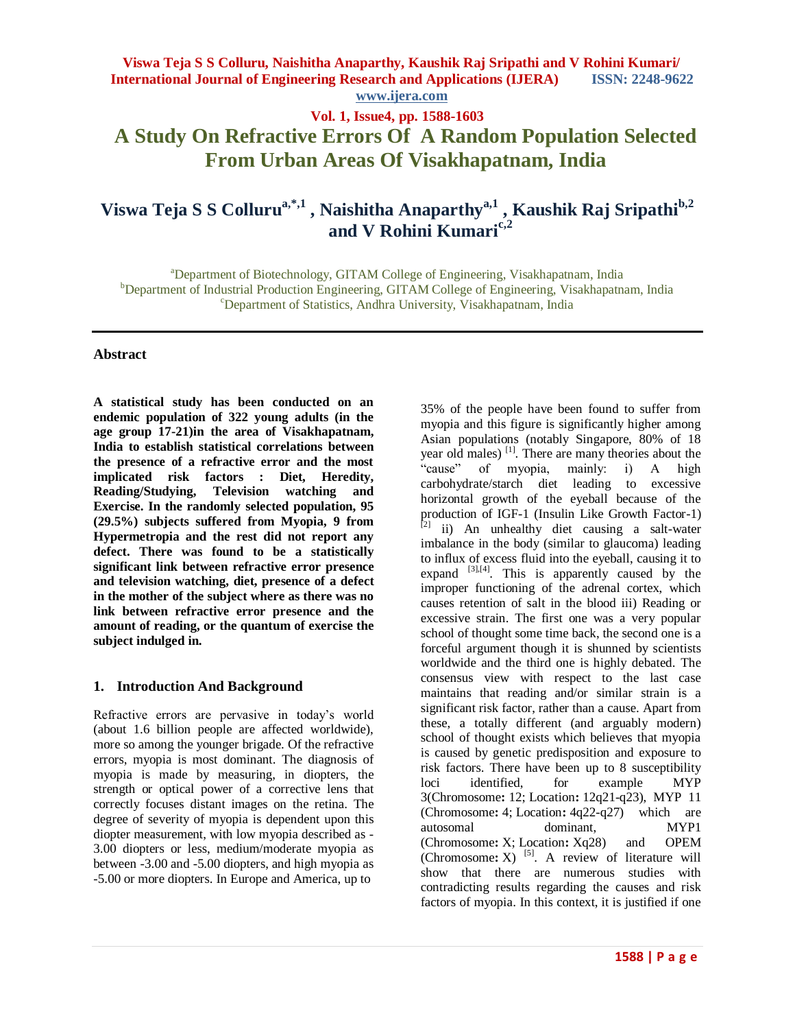# **Viswa Teja S S Collurua,\*,1 , Naishitha Anaparthya,1 , Kaushik Raj Sripathib,2 and V Rohini Kumaric,2**

<sup>a</sup>Department of Biotechnology, GITAM College of Engineering, Visakhapatnam, India <sup>b</sup>Department of Industrial Production Engineering, GITAM College of Engineering, Visakhapatnam, India <sup>c</sup>Department of Statistics, Andhra University, Visakhapatnam, India

#### **Abstract**

**A statistical study has been conducted on an endemic population of 322 young adults (in the age group 17-21)in the area of Visakhapatnam, India to establish statistical correlations between the presence of a refractive error and the most implicated risk factors : Diet, Heredity, Reading/Studying, Television watching and Exercise. In the randomly selected population, 95 (29.5%) subjects suffered from Myopia, 9 from Hypermetropia and the rest did not report any defect. There was found to be a statistically significant link between refractive error presence and television watching, diet, presence of a defect in the mother of the subject where as there was no link between refractive error presence and the amount of reading, or the quantum of exercise the subject indulged in.** 

### **1. Introduction And Background**

Refractive errors are pervasive in today"s world (about 1.6 billion people are affected worldwide), more so among the younger brigade. Of the refractive errors, myopia is most dominant. The diagnosis of myopia is made by measuring, in diopters, the strength or optical power of a corrective lens that correctly focuses distant images on the retina. The degree of severity of myopia is dependent upon this diopter measurement, with low myopia described as - 3.00 diopters or less, medium/moderate myopia as between -3.00 and -5.00 diopters, and high myopia as -5.00 or more diopters. In Europe and America, up to

35% of the people have been found to suffer from myopia and this figure is significantly higher among Asian populations (notably Singapore, 80% of 18 year old males) [1]. There are many theories about the "cause" of myopia, mainly: i) A high carbohydrate/starch diet leading to excessive horizontal growth of the eyeball because of the production of IGF-1 (Insulin Like Growth Factor-1)  $^{[2]}$  ii) An unhealthy diet causing a salt-water imbalance in the body (similar to glaucoma) leading to influx of excess fluid into the eyeball, causing it to expand  $^{[3],[4]}$ . This is apparently caused by the improper functioning of the adrenal cortex, which causes retention of salt in the blood iii) Reading or excessive strain. The first one was a very popular school of thought some time back, the second one is a forceful argument though it is shunned by scientists worldwide and the third one is highly debated. The consensus view with respect to the last case maintains that reading and/or similar strain is a significant risk factor, rather than a cause. Apart from these, a totally different (and arguably modern) school of thought exists which believes that myopia is caused by genetic predisposition and exposure to risk factors. There have been up to 8 susceptibility loci identified, for example MYP 3(Chromosome**:** 12; Location**:** 12q21-q23), MYP 11 (Chromosome**:** 4; Location**:** 4q22-q27) which are autosomal dominant, MYP1 (Chromosome**:** X; Location**:** Xq28) and OPEM (Chromosome:  $X$ )<sup>[5]</sup>. A review of literature will show that there are numerous studies with contradicting results regarding the causes and risk factors of myopia. In this context, it is justified if one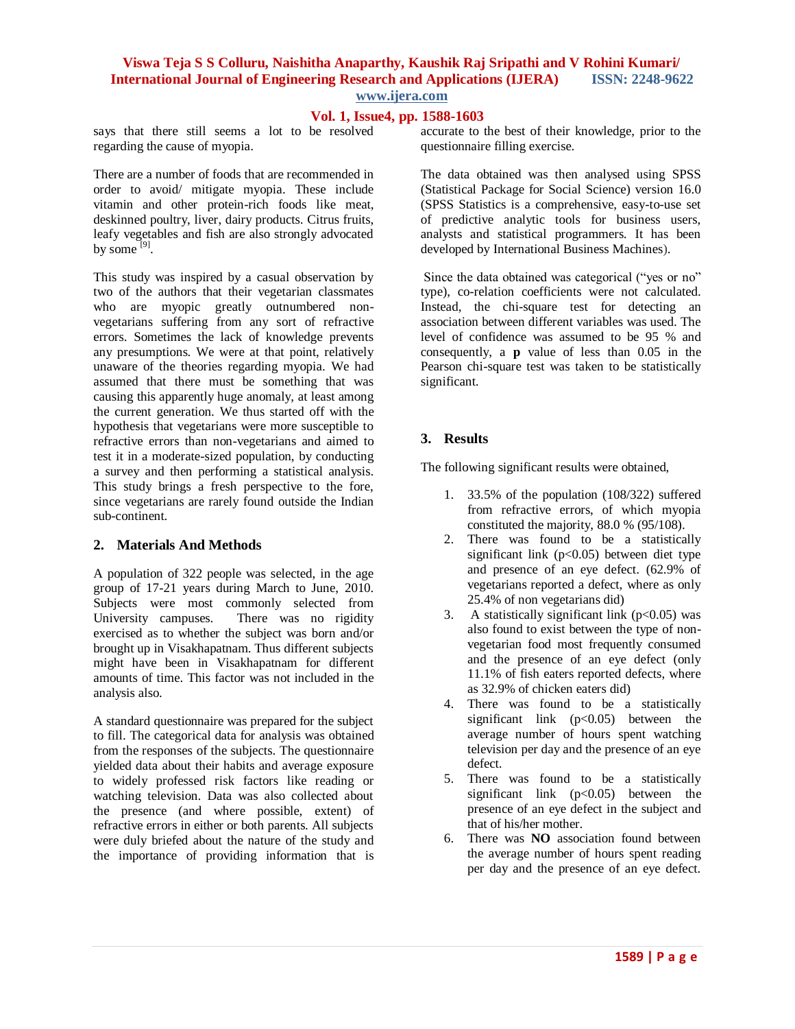## **Vol. 1, Issue4, pp. 1588-1603**

says that there still seems a lot to be resolved regarding the cause of myopia.

There are a number of foods that are recommended in order to avoid/ mitigate myopia. These include vitamin and other protein-rich foods like meat, deskinned poultry, liver, dairy products. Citrus fruits, leafy vegetables and fish are also strongly advocated by some  $^{[9]}$ .

This study was inspired by a casual observation by two of the authors that their vegetarian classmates who are myopic greatly outnumbered nonvegetarians suffering from any sort of refractive errors. Sometimes the lack of knowledge prevents any presumptions. We were at that point, relatively unaware of the theories regarding myopia. We had assumed that there must be something that was causing this apparently huge anomaly, at least among the current generation. We thus started off with the hypothesis that vegetarians were more susceptible to refractive errors than non-vegetarians and aimed to test it in a moderate-sized population, by conducting a survey and then performing a statistical analysis. This study brings a fresh perspective to the fore, since vegetarians are rarely found outside the Indian sub-continent.

#### **2. Materials And Methods**

A population of 322 people was selected, in the age group of 17-21 years during March to June, 2010. Subjects were most commonly selected from University campuses. There was no rigidity exercised as to whether the subject was born and/or brought up in Visakhapatnam. Thus different subjects might have been in Visakhapatnam for different amounts of time. This factor was not included in the analysis also.

A standard questionnaire was prepared for the subject to fill. The categorical data for analysis was obtained from the responses of the subjects. The questionnaire yielded data about their habits and average exposure to widely professed risk factors like reading or watching television. Data was also collected about the presence (and where possible, extent) of refractive errors in either or both parents. All subjects were duly briefed about the nature of the study and the importance of providing information that is

accurate to the best of their knowledge, prior to the questionnaire filling exercise.

The data obtained was then analysed using SPSS (Statistical Package for Social Science) version 16.0 (SPSS Statistics is a comprehensive, easy-to-use set of predictive analytic tools for business users, analysts and statistical programmers. It has been developed by International Business Machines).

Since the data obtained was categorical ("yes or no" type), co-relation coefficients were not calculated. Instead, the chi-square test for detecting an association between different variables was used. The level of confidence was assumed to be 95 % and consequently, a **p** value of less than 0.05 in the Pearson chi-square test was taken to be statistically significant.

# **3. Results**

The following significant results were obtained,

- 1. 33.5% of the population (108/322) suffered from refractive errors, of which myopia constituted the majority, 88.0 % (95/108).
- 2. There was found to be a statistically significant link ( $p<0.05$ ) between diet type and presence of an eye defect. (62.9% of vegetarians reported a defect, where as only 25.4% of non vegetarians did)
- 3. A statistically significant link  $(p<0.05)$  was also found to exist between the type of nonvegetarian food most frequently consumed and the presence of an eye defect (only 11.1% of fish eaters reported defects, where as 32.9% of chicken eaters did)
- 4. There was found to be a statistically significant link  $(p<0.05)$  between the average number of hours spent watching television per day and the presence of an eye defect.
- 5. There was found to be a statistically significant link  $(p<0.05)$  between the presence of an eye defect in the subject and that of his/her mother.
- 6. There was **NO** association found between the average number of hours spent reading per day and the presence of an eye defect.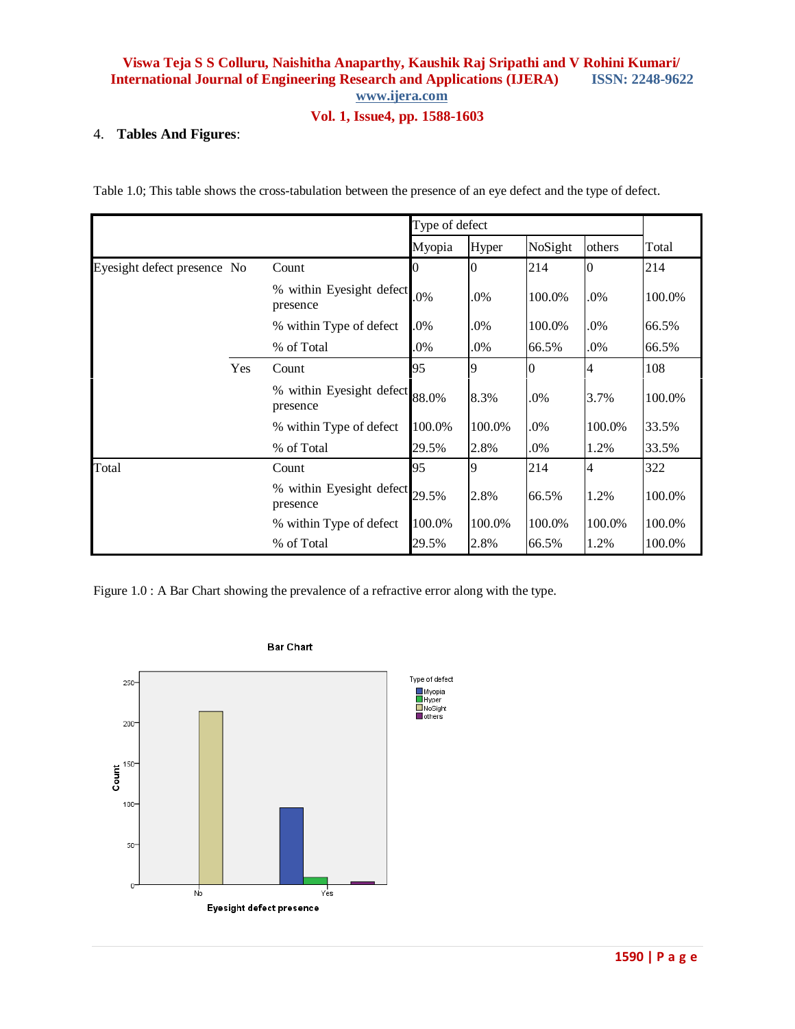# **Vol. 1, Issue4, pp. 1588-1603**

#### 4. **Tables And Figures**:

Table 1.0; This table shows the cross-tabulation between the presence of an eye defect and the type of defect.

|                             |     |                                      | Type of defect |        |         |                |        |
|-----------------------------|-----|--------------------------------------|----------------|--------|---------|----------------|--------|
|                             |     |                                      | Myopia         | Hyper  | NoSight | others         | Total  |
| Eyesight defect presence No |     | Count                                | 0              | 0      | 214     | 0              | 214    |
|                             |     | % within Eyesight defect<br>presence | .0%            | .0%    | 100.0%  | .0%            | 100.0% |
|                             |     | % within Type of defect              | .0%            | .0%    | 100.0%  | .0%            | 66.5%  |
|                             |     | % of Total                           | .0%            | .0%    | 66.5%   | .0%            | 66.5%  |
|                             | Yes | Count                                | 95             | 9      | 0       | 4              | 108    |
|                             |     | % within Eyesight defect<br>presence | 88.0%          | 8.3%   | .0%     | 3.7%           | 100.0% |
|                             |     | % within Type of defect              | 100.0%         | 100.0% | .0%     | 100.0%         | 33.5%  |
|                             |     | % of Total                           | 29.5%          | 2.8%   | .0%     | 1.2%           | 33.5%  |
| Total                       |     | Count                                | 95             | 9      | 214     | $\overline{4}$ | 322    |
|                             |     | % within Eyesight defect<br>presence | 29.5%          | 2.8%   | 66.5%   | 1.2%           | 100.0% |
|                             |     | % within Type of defect              | 100.0%         | 100.0% | 100.0%  | 100.0%         | 100.0% |
|                             |     | % of Total                           | 29.5%          | 2.8%   | 66.5%   | 1.2%           | 100.0% |

Figure 1.0 : A Bar Chart showing the prevalence of a refractive error along with the type.



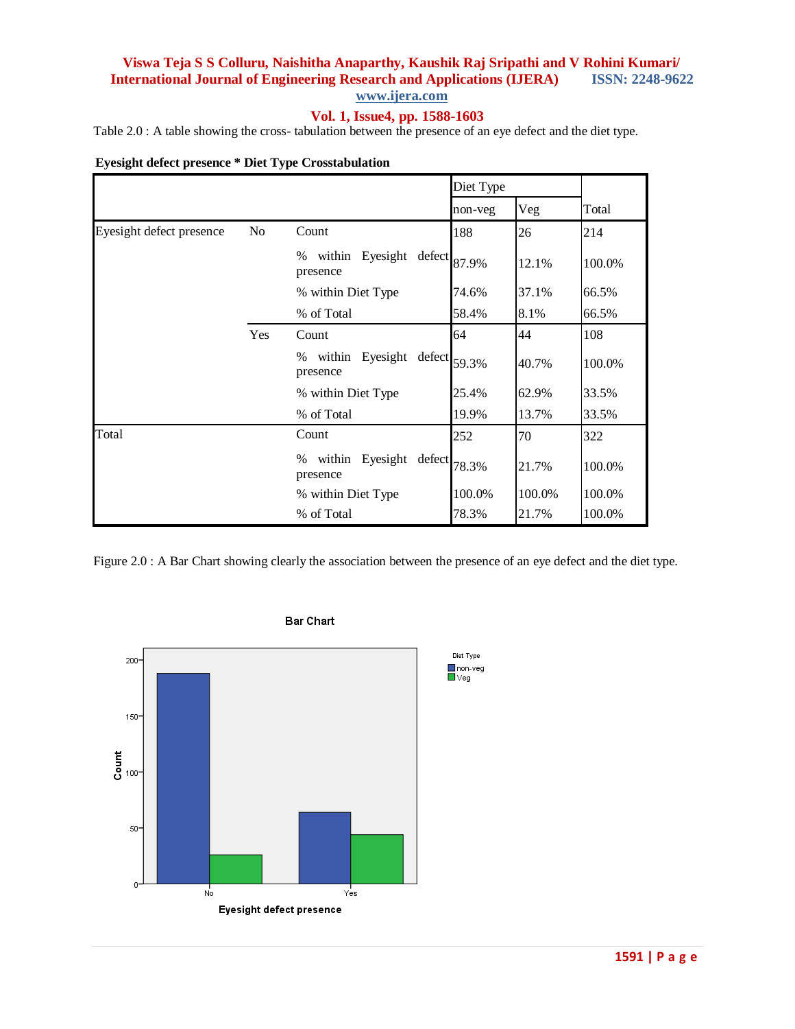# **Vol. 1, Issue4, pp. 1588-1603**

Table 2.0 : A table showing the cross- tabulation between the presence of an eye defect and the diet type.

|  |  | <b>Eyesight defect presence * Diet Type Crosstabulation</b> |  |
|--|--|-------------------------------------------------------------|--|

|                          |     |                                                     | Diet Type |        |        |
|--------------------------|-----|-----------------------------------------------------|-----------|--------|--------|
|                          |     |                                                     | non-veg   | Veg    | Total  |
| Eyesight defect presence | No  | Count                                               | 188       | 26     | 214    |
|                          |     | within Eyesight defect 87.9%<br>%<br>presence       |           | 12.1%  | 100.0% |
|                          |     | % within Diet Type                                  | 74.6%     | 37.1%  | 66.5%  |
|                          |     | % of Total                                          | 58.4%     | 8.1%   | 66.5%  |
|                          | Yes | Count                                               | 64        | 44     | 108    |
|                          |     | Eyesight defect $59.3\%$<br>within<br>%<br>presence |           | 40.7%  | 100.0% |
|                          |     | % within Diet Type                                  | 25.4%     | 62.9%  | 33.5%  |
|                          |     | % of Total                                          | 19.9%     | 13.7%  | 33.5%  |
| Total                    |     | Count                                               | 252       | 70     | 322    |
|                          |     | within Eyesight defect $78.3\%$<br>%<br>presence    |           | 21.7%  | 100.0% |
|                          |     | % within Diet Type                                  | 100.0%    | 100.0% | 100.0% |
|                          |     | % of Total                                          | 78.3%     | 21.7%  | 100.0% |

Figure 2.0 : A Bar Chart showing clearly the association between the presence of an eye defect and the diet type.



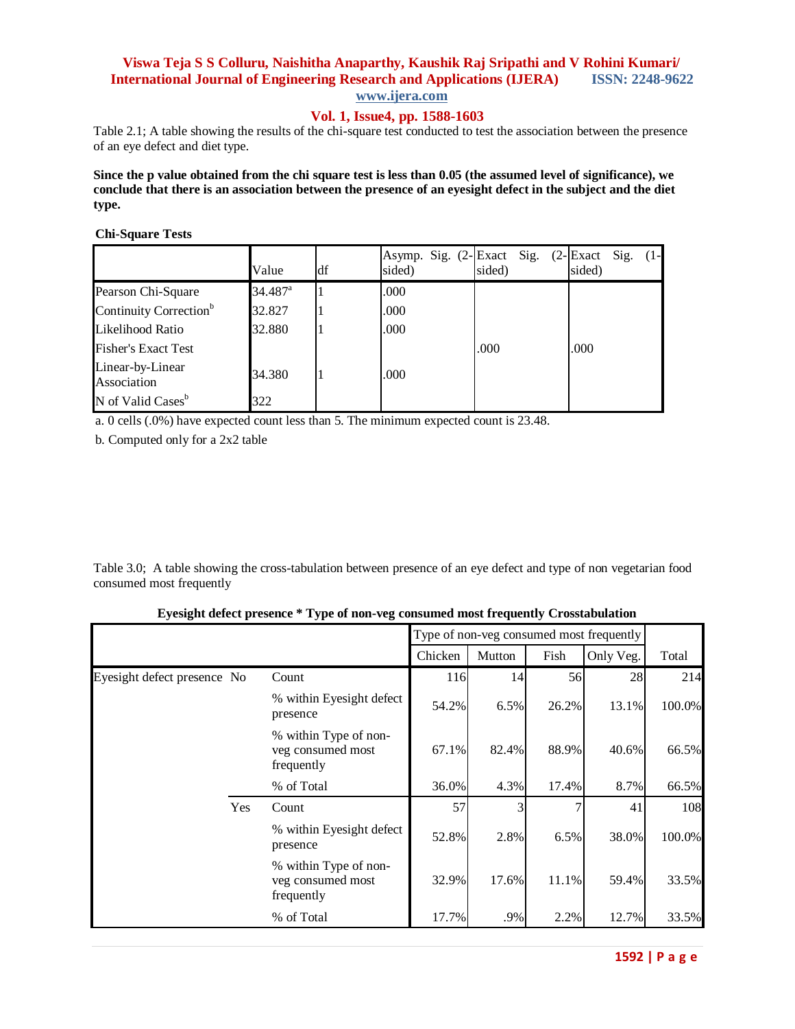### **Vol. 1, Issue4, pp. 1588-1603**

Table 2.1; A table showing the results of the chi-square test conducted to test the association between the presence of an eye defect and diet type.

**Since the p value obtained from the chi square test is less than 0.05 (the assumed level of significance), we conclude that there is an association between the presence of an eyesight defect in the subject and the diet type.**

#### **Chi-Square Tests**

|                                    | Value               | df | Asymp. Sig. (2-Exact Sig.<br>sided) | sided) | $(2$ -Exact Sig.<br>$(1 -$<br>sided) |
|------------------------------------|---------------------|----|-------------------------------------|--------|--------------------------------------|
| Pearson Chi-Square                 | 34.487 <sup>a</sup> |    | .000                                |        |                                      |
| Continuity Correction <sup>b</sup> | 32.827              |    | .000                                |        |                                      |
| Likelihood Ratio                   | 32.880              |    | .000                                |        |                                      |
| <b>Fisher's Exact Test</b>         |                     |    |                                     | .000   | .000                                 |
| Linear-by-Linear<br>Association    | 34.380              |    | .000                                |        |                                      |
| N of Valid Cases <sup>b</sup>      | 322                 |    |                                     |        |                                      |

a. 0 cells (.0%) have expected count less than 5. The minimum expected count is 23.48.

b. Computed only for a 2x2 table

Table 3.0; A table showing the cross-tabulation between presence of an eye defect and type of non vegetarian food consumed most frequently

| Eyesight defect presence * Type of non-veg consumed most frequently Crosstabulation |  |  |
|-------------------------------------------------------------------------------------|--|--|
|                                                                                     |  |  |

|                             |     |                                                          |         | Type of non-veg consumed most frequently |       |           |        |
|-----------------------------|-----|----------------------------------------------------------|---------|------------------------------------------|-------|-----------|--------|
|                             |     |                                                          | Chicken | Mutton                                   | Fish  | Only Veg. | Total  |
| Eyesight defect presence No |     | Count                                                    | 116     | 14                                       | 56    | 28        | 214    |
|                             |     | % within Eyesight defect<br>presence                     | 54.2%   | 6.5%                                     | 26.2% | 13.1%     | 100.0% |
|                             |     | % within Type of non-<br>veg consumed most<br>frequently | 67.1%   | 82.4%                                    | 88.9% | 40.6%     | 66.5%  |
|                             |     | % of Total                                               | 36.0%   | 4.3%                                     | 17.4% | 8.7%      | 66.5%  |
|                             | Yes | Count                                                    | 57      |                                          |       | 41        | 108    |
|                             |     | % within Eyesight defect<br>presence                     | 52.8%   | 2.8%                                     | 6.5%  | 38.0%     | 100.0% |
|                             |     | % within Type of non-<br>veg consumed most<br>frequently | 32.9%   | 17.6%                                    | 11.1% | 59.4%     | 33.5%  |
|                             |     | % of Total                                               | 17.7%   | .9%                                      | 2.2%  | 12.7%     | 33.5%  |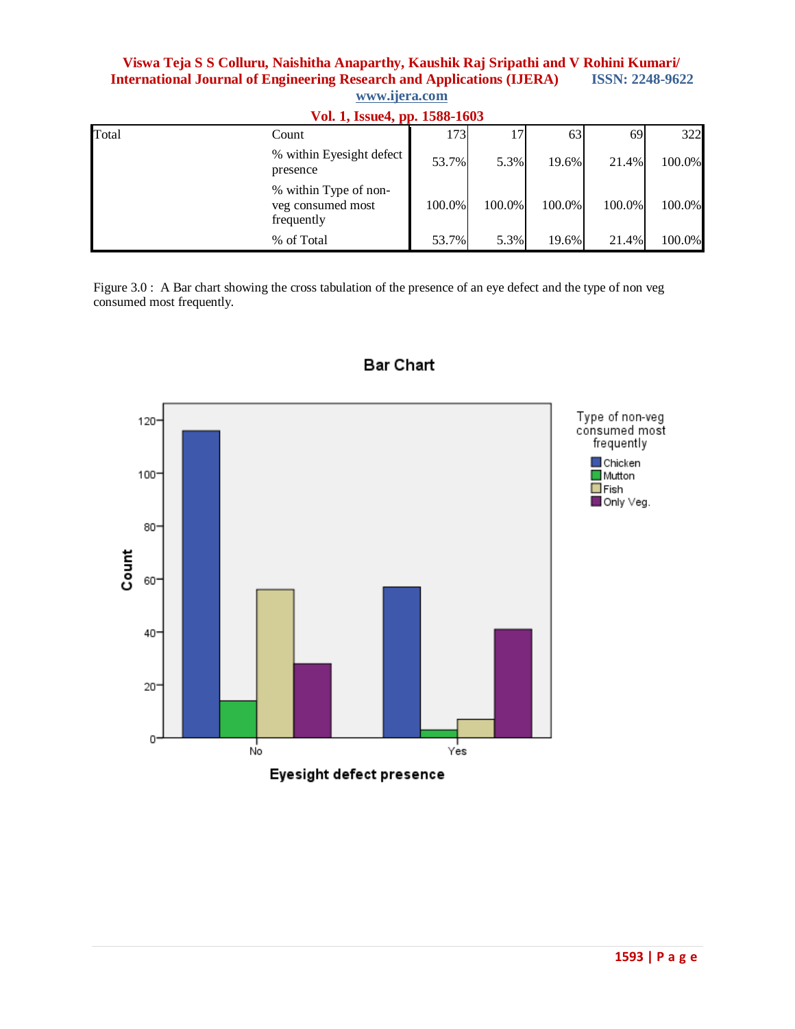|       | Vol. 1, Issue4, pp. 1588-1603                            |        |        |        |               |        |  |  |
|-------|----------------------------------------------------------|--------|--------|--------|---------------|--------|--|--|
| Total | Count                                                    | 1731   | 17     | 63     | <sup>69</sup> | 322    |  |  |
|       | % within Eyesight defect<br>presence                     | 53.7%  | 5.3%   | 19.6%  | 21.4%         | 100.0% |  |  |
|       | % within Type of non-<br>veg consumed most<br>frequently | 100.0% | 100.0% | 100.0% | 100.0%        | 100.0% |  |  |
|       | % of Total                                               | 53.7%  | 5.3%   | 19.6%  | 21.4%         | 100.0% |  |  |

Figure 3.0 : A Bar chart showing the cross tabulation of the presence of an eye defect and the type of non veg consumed most frequently.



**Bar Chart**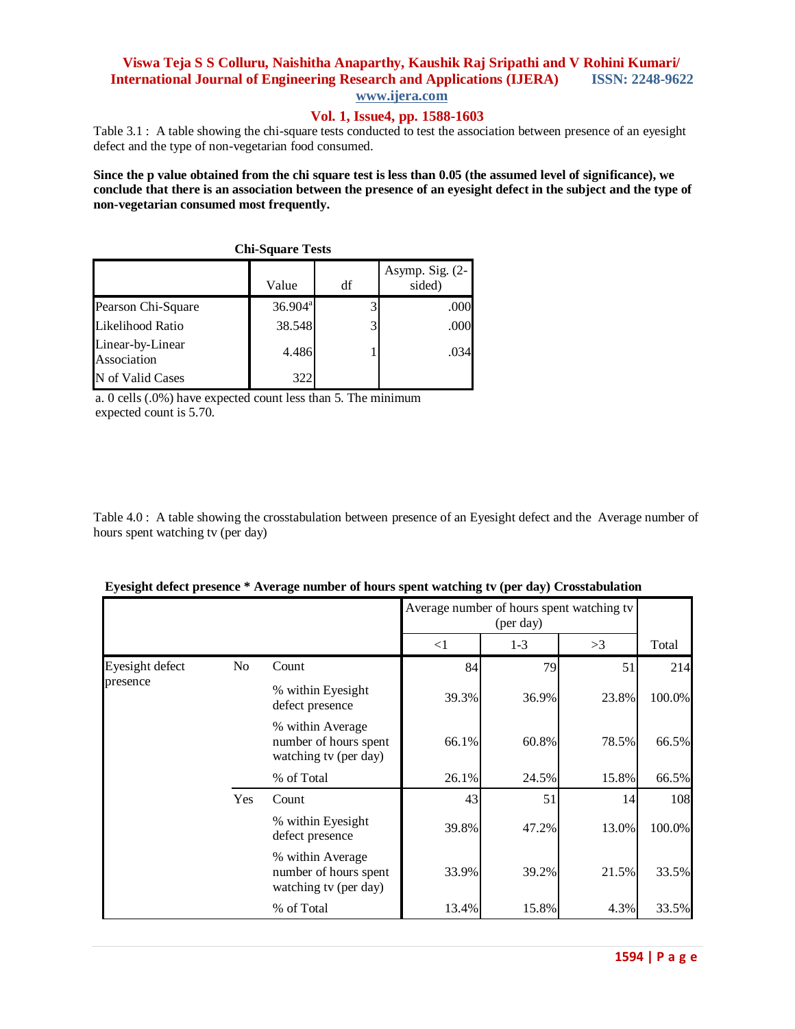#### **Vol. 1, Issue4, pp. 1588-1603**

Table 3.1 : A table showing the chi-square tests conducted to test the association between presence of an eyesight defect and the type of non-vegetarian food consumed.

**Since the p value obtained from the chi square test is less than 0.05 (the assumed level of significance), we conclude that there is an association between the presence of an eyesight defect in the subject and the type of non-vegetarian consumed most frequently.**

| <b>CHI-SQUATE LESLS</b>         |            |    |                              |  |  |  |  |
|---------------------------------|------------|----|------------------------------|--|--|--|--|
|                                 | Value      | df | Asymp. Sig. $(2-)$<br>sided) |  |  |  |  |
| Pearson Chi-Square              | $36.904^a$ |    | .000                         |  |  |  |  |
| Likelihood Ratio                | 38.548     |    | .000                         |  |  |  |  |
| Linear-by-Linear<br>Association | 4.486      |    | .034                         |  |  |  |  |
| N of Valid Cases                | 322        |    |                              |  |  |  |  |

**Chi-Square Tests**

a. 0 cells (.0%) have expected count less than 5. The minimum expected count is 5.70.

Table 4.0 : A table showing the crosstabulation between presence of an Eyesight defect and the Average number of hours spent watching tv (per day)

|                 |                | o                                                                  |          |                                                        |       |        |
|-----------------|----------------|--------------------------------------------------------------------|----------|--------------------------------------------------------|-------|--------|
|                 |                |                                                                    |          | Average number of hours spent watching tv<br>(per day) |       |        |
|                 |                |                                                                    | $\leq$ 1 | $1 - 3$                                                | >3    | Total  |
| Eyesight defect | N <sub>o</sub> | Count                                                              | 84       | 79                                                     | 51    | 214    |
| presence        |                | % within Eyesight<br>defect presence                               | 39.3%    | 36.9%                                                  | 23.8% | 100.0% |
|                 |                | % within Average<br>number of hours spent<br>watching tv (per day) | 66.1%    | 60.8%                                                  | 78.5% | 66.5%  |
|                 |                | % of Total                                                         | 26.1%    | 24.5%                                                  | 15.8% | 66.5%  |
|                 | Yes            | Count                                                              | 43       | 51                                                     | 14    | 108    |
|                 |                | % within Eyesight<br>defect presence                               | 39.8%    | 47.2%                                                  | 13.0% | 100.0% |
|                 |                | % within Average<br>number of hours spent<br>watching tv (per day) | 33.9%    | 39.2%                                                  | 21.5% | 33.5%  |
|                 |                | % of Total                                                         | 13.4%    | 15.8%                                                  | 4.3%  | 33.5%  |

|  |  |  | Eyesight defect presence * Average number of hours spent watching tv (per day) Crosstabulation |
|--|--|--|------------------------------------------------------------------------------------------------|
|  |  |  |                                                                                                |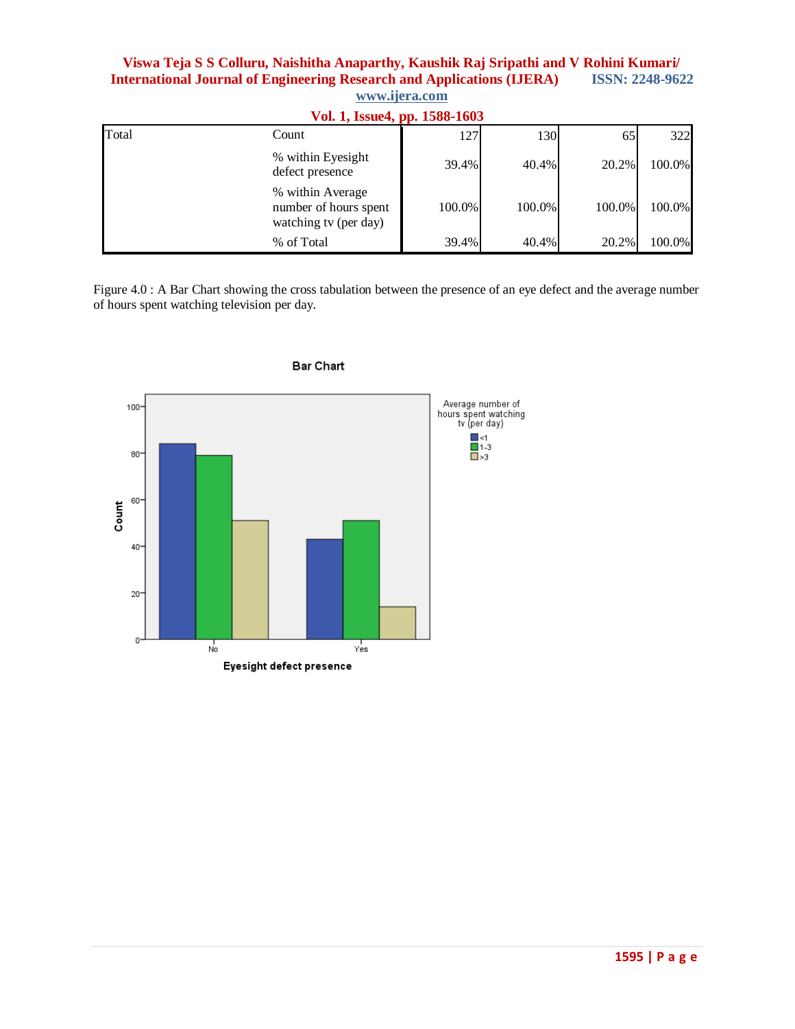|       | Vol. 1, Issue 4, pp. 1588-1603                                     |        |        |        |        |  |  |  |
|-------|--------------------------------------------------------------------|--------|--------|--------|--------|--|--|--|
| Total | Count                                                              | 127    | 130    | 65     | 322    |  |  |  |
|       | % within Eyesight<br>defect presence                               | 39.4%  | 40.4%  | 20.2%  | 100.0% |  |  |  |
|       | % within Average<br>number of hours spent<br>watching tv (per day) | 100.0% | 100.0% | 100.0% | 100.0% |  |  |  |
|       | % of Total                                                         | 39.4%  | 40.4%  | 20.2%  | 100.0% |  |  |  |

Figure 4.0 : A Bar Chart showing the cross tabulation between the presence of an eye defect and the average number of hours spent watching television per day.



**Bar Chart**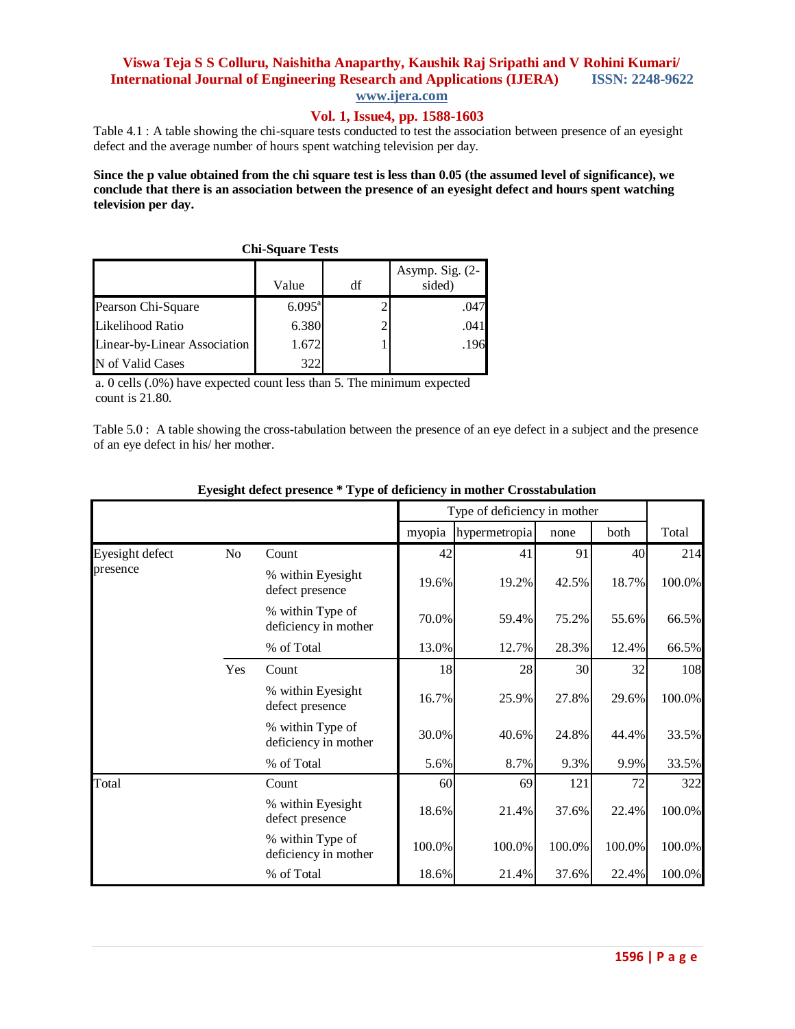#### **Vol. 1, Issue4, pp. 1588-1603**

Table 4.1 : A table showing the chi-square tests conducted to test the association between presence of an eyesight defect and the average number of hours spent watching television per day.

**Since the p value obtained from the chi square test is less than 0.05 (the assumed level of significance), we conclude that there is an association between the presence of an eyesight defect and hours spent watching television per day.**

| <b>Chi-Square Tests</b>      |                 |    |                              |  |  |  |
|------------------------------|-----------------|----|------------------------------|--|--|--|
|                              | Value           | df | Asymp. Sig. $(2-)$<br>sided) |  |  |  |
| Pearson Chi-Square           | $6.095^{\rm a}$ |    | .047                         |  |  |  |
| Likelihood Ratio             | 6.380           |    | .041                         |  |  |  |
| Linear-by-Linear Association | 1.672           |    | .196                         |  |  |  |
| of Valid Cases               | 322             |    |                              |  |  |  |

a. 0 cells (.0%) have expected count less than 5. The minimum expected count is 21.80.

Table 5.0 : A table showing the cross-tabulation between the presence of an eye defect in a subject and the presence of an eye defect in his/ her mother.

|                 |                |                                          | Type of deficiency in mother |               |        |        |        |
|-----------------|----------------|------------------------------------------|------------------------------|---------------|--------|--------|--------|
|                 |                |                                          | myopia                       | hypermetropia | none   | both   | Total  |
| Eyesight defect | N <sub>o</sub> | Count                                    | 42                           | 41            | 91     | 40     | 214    |
| presence        |                | % within Eyesight<br>defect presence     | 19.6%                        | 19.2%         | 42.5%  | 18.7%  | 100.0% |
|                 |                | % within Type of<br>deficiency in mother | 70.0%                        | 59.4%         | 75.2%  | 55.6%  | 66.5%  |
|                 |                | % of Total                               | 13.0%                        | 12.7%         | 28.3%  | 12.4%  | 66.5%  |
|                 | Yes            | Count                                    | 18                           | 28            | 30     | 32     | 108    |
|                 |                | % within Eyesight<br>defect presence     | 16.7%                        | 25.9%         | 27.8%  | 29.6%  | 100.0% |
|                 |                | % within Type of<br>deficiency in mother | 30.0%                        | 40.6%         | 24.8%  | 44.4%  | 33.5%  |
|                 |                | % of Total                               | 5.6%                         | 8.7%          | 9.3%   | 9.9%   | 33.5%  |
| Total           |                | Count                                    | 60                           | 69            | 121    | 72     | 322    |
|                 |                | % within Eyesight<br>defect presence     | 18.6%                        | 21.4%         | 37.6%  | 22.4%  | 100.0% |
|                 |                | % within Type of<br>deficiency in mother | 100.0%                       | 100.0%        | 100.0% | 100.0% | 100.0% |
|                 |                | % of Total                               | 18.6%                        | 21.4%         | 37.6%  | 22.4%  | 100.0% |

#### **Eyesight defect presence \* Type of deficiency in mother Crosstabulation**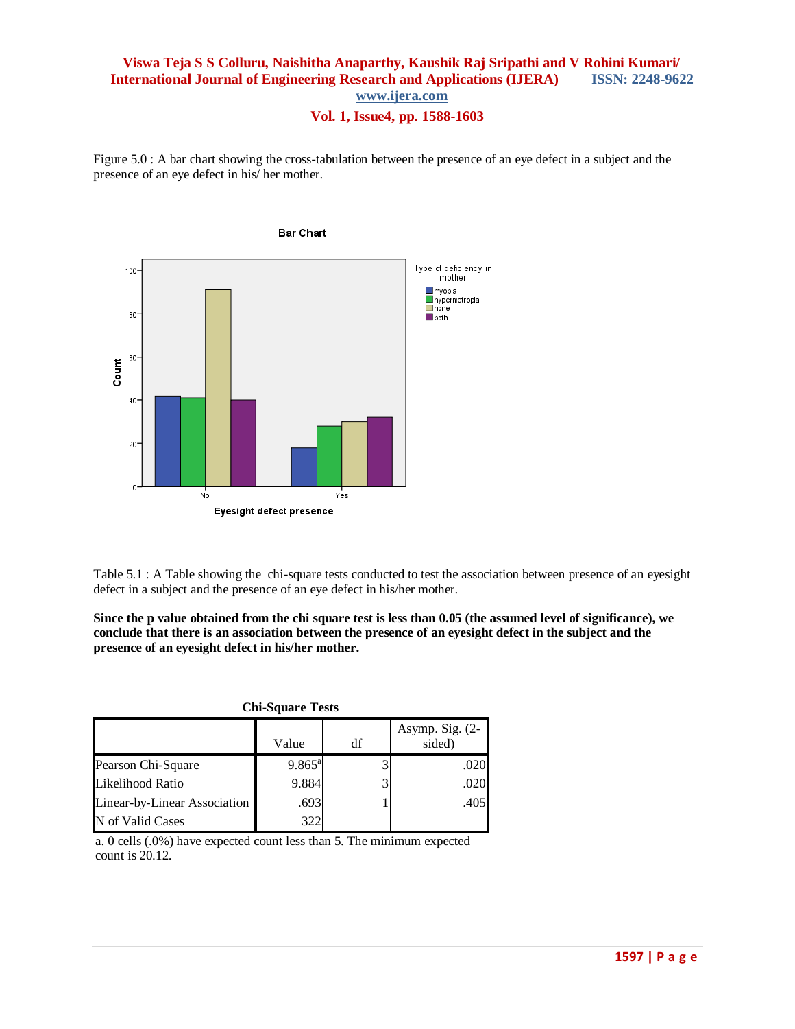**Vol. 1, Issue4, pp. 1588-1603**

Figure 5.0 : A bar chart showing the cross-tabulation between the presence of an eye defect in a subject and the presence of an eye defect in his/ her mother.



Table 5.1 : A Table showing the chi-square tests conducted to test the association between presence of an eyesight defect in a subject and the presence of an eye defect in his/her mother.

**Since the p value obtained from the chi square test is less than 0.05 (the assumed level of significance), we conclude that there is an association between the presence of an eyesight defect in the subject and the presence of an eyesight defect in his/her mother.**

**Chi-Square Tests**

|                              | Value              | df | Asymp. Sig. $(2-$<br>sided) |
|------------------------------|--------------------|----|-----------------------------|
| Pearson Chi-Square           | $9.865^{\text{a}}$ |    | .020                        |
| Likelihood Ratio             | 9.884              |    | .020                        |
| Linear-by-Linear Association | .693               |    | .405                        |
| N of Valid Cases             | 322                |    |                             |

a. 0 cells (.0%) have expected count less than 5. The minimum expected count is 20.12.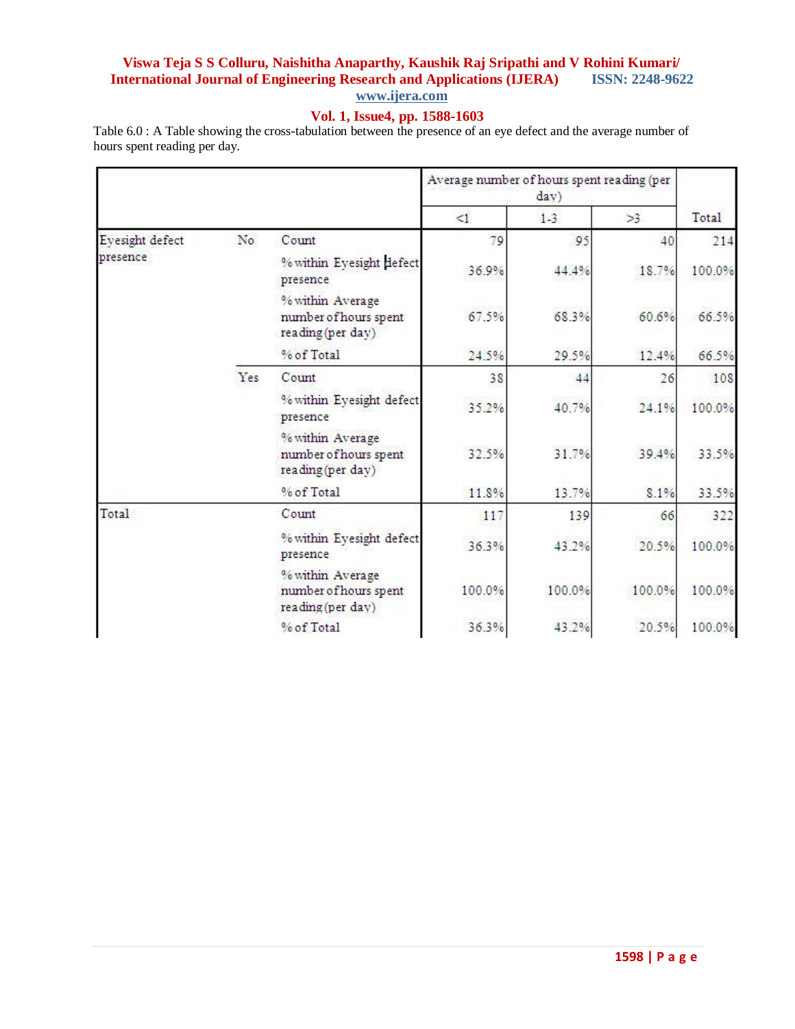# **Vol. 1, Issue4, pp. 1588-1603**

Table 6.0 : A Table showing the cross-tabulation between the presence of an eye defect and the average number of hours spent reading per day.

|                 |     |                                                                | Average number of hours spent reading (per<br>day) |        |        |        |
|-----------------|-----|----------------------------------------------------------------|----------------------------------------------------|--------|--------|--------|
|                 |     |                                                                | $\leq 1$                                           | $1-3$  | >3     | Total  |
| Eyesight defect | No  | Count                                                          | 79                                                 | 95     | 40     | 214    |
| presence        |     | % within Eyesight defect<br>presence                           | 36.9%                                              | 44.4%  | 18.7%  | 100.0% |
|                 |     | % within Average<br>number of hours spent<br>reading (per day) | 67.5%                                              | 68.3%  | 60.6%  | 66.5%  |
|                 |     | % of Total                                                     | 24.5%                                              | 29.5%  | 12.4%  | 66.5%  |
|                 | Yes | Count                                                          | 38                                                 | 44     | 26     | 108    |
|                 |     | % within Eyesight defect<br>presence                           | 35.2%                                              | 40.7%  | 24.1%  | 100.0% |
|                 |     | % within Average<br>number of hours spent<br>reading (per day) | 32.5%                                              | 31.7%  | 39.4%  | 33.5%  |
|                 |     | % of Total                                                     | 11.8%                                              | 13.7%  | 8.1%   | 33.5%  |
| Total           |     | Count                                                          | 117                                                | 139    | 66     | 322    |
|                 |     | % within Eyesight defect<br>presence                           | 36.3%                                              | 43.2%  | 20.5%  | 100.0% |
|                 |     | % within Average<br>number of hours spent<br>reading (per day) | 100.0%                                             | 100.0% | 100.0% | 100.0% |
|                 |     | % of Total                                                     | 36.3%                                              | 43.2%  | 20.5%  | 100.0% |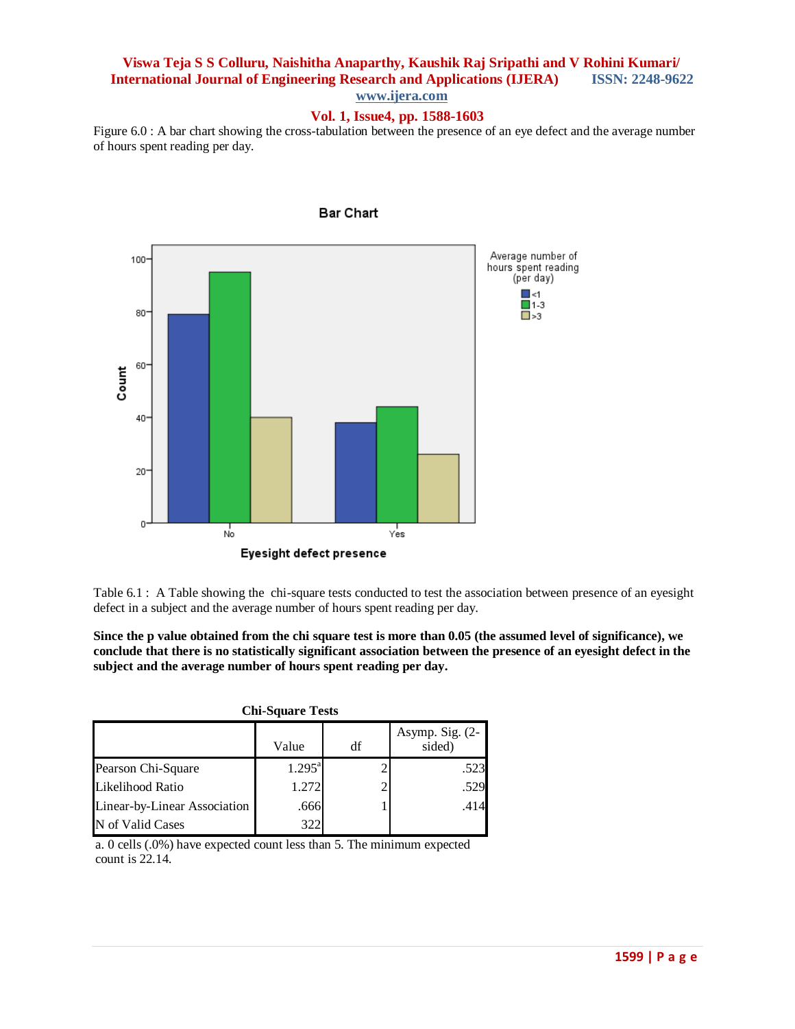## **Vol. 1, Issue4, pp. 1588-1603**

Figure 6.0 : A bar chart showing the cross-tabulation between the presence of an eye defect and the average number of hours spent reading per day.



**Bar Chart** 

Table 6.1 : A Table showing the chi-square tests conducted to test the association between presence of an eyesight defect in a subject and the average number of hours spent reading per day.

**Since the p value obtained from the chi square test is more than 0.05 (the assumed level of significance), we conclude that there is no statistically significant association between the presence of an eyesight defect in the subject and the average number of hours spent reading per day.**

| <b>Chi-Square Tests</b>      |                 |    |                             |  |  |  |  |
|------------------------------|-----------------|----|-----------------------------|--|--|--|--|
|                              | Value           | df | Asymp. Sig. $(2-$<br>sided) |  |  |  |  |
| Pearson Chi-Square           | $1.295^{\rm a}$ |    | .523                        |  |  |  |  |
| Likelihood Ratio             | 1.272           |    | .529                        |  |  |  |  |
| Linear-by-Linear Association | .666            |    | .414                        |  |  |  |  |
| N of Valid Cases             | 322             |    |                             |  |  |  |  |

a. 0 cells (.0%) have expected count less than 5. The minimum expected count is 22.14.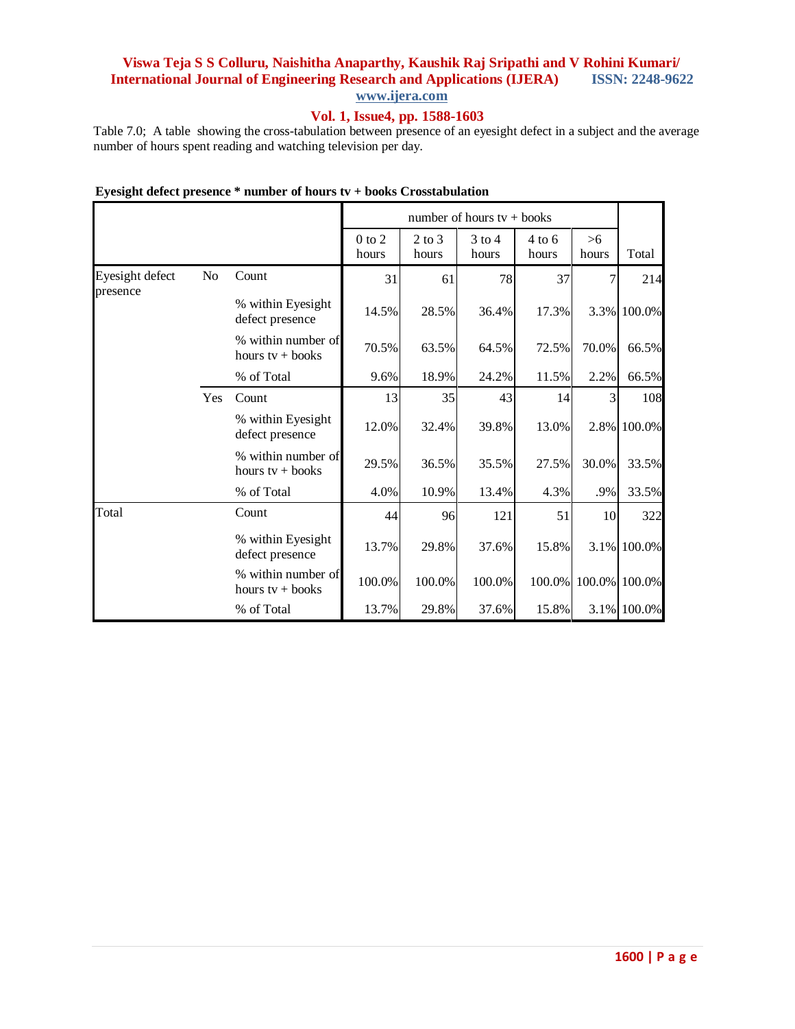### **Vol. 1, Issue4, pp. 1588-1603**

Table 7.0; A table showing the cross-tabulation between presence of an eyesight defect in a subject and the average number of hours spent reading and watching television per day.

|                 |     |                                          | number of hours $tv +$ books |                     |                   |                   |             |             |
|-----------------|-----|------------------------------------------|------------------------------|---------------------|-------------------|-------------------|-------------|-------------|
|                 |     |                                          | $0$ to $2$<br>hours          | $2$ to $3$<br>hours | $3$ to 4<br>hours | $4$ to 6<br>hours | >6<br>hours | Total       |
| Eyesight defect | No  | Count                                    | 31                           | 61                  | 78                | 37                | 7           | 214         |
| presence        |     | % within Eyesight<br>defect presence     | 14.5%                        | 28.5%               | 36.4%             | 17.3%             |             | 3.3% 100.0% |
|                 |     | % within number of<br>hours $tv +$ books | 70.5%                        | 63.5%               | 64.5%             | 72.5%             | 70.0%       | 66.5%       |
|                 |     | % of Total                               | 9.6%                         | 18.9%               | 24.2%             | 11.5%             | 2.2%        | 66.5%       |
|                 | Yes | Count                                    | 13                           | 35                  | 43                | 14                | 3           | 108         |
|                 |     | % within Eyesight<br>defect presence     | 12.0%                        | 32.4%               | 39.8%             | 13.0%             |             | 2.8% 100.0% |
|                 |     | % within number of<br>hours $tv +$ books | 29.5%                        | 36.5%               | 35.5%             | 27.5%             | 30.0%       | 33.5%       |
|                 |     | % of Total                               | 4.0%                         | 10.9%               | 13.4%             | 4.3%              | .9%         | 33.5%       |
| Total           |     | Count                                    | 44                           | 96                  | 121               | 51                | 10          | 322         |
|                 |     | % within Eyesight<br>defect presence     | 13.7%                        | 29.8%               | 37.6%             | 15.8%             |             | 3.1% 100.0% |
|                 |     | % within number of<br>hours $tv +$ books | 100.0%                       | 100.0%              | 100.0%            | 100.0%            | 100.0%      | 100.0%      |
|                 |     | % of Total                               | 13.7%                        | 29.8%               | 37.6%             | 15.8%             |             | 3.1% 100.0% |

### **Eyesight defect presence \* number of hours tv + books Crosstabulation**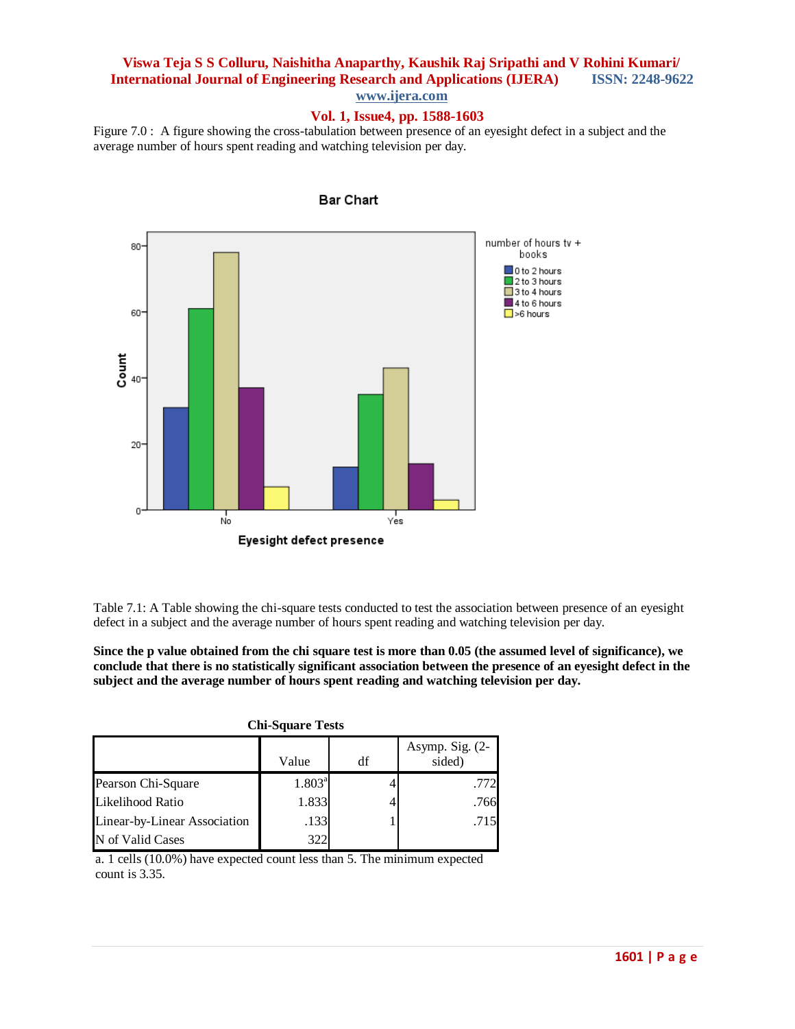### **Vol. 1, Issue4, pp. 1588-1603**

Figure 7.0 : A figure showing the cross-tabulation between presence of an eyesight defect in a subject and the average number of hours spent reading and watching television per day.



**Bar Chart** 

Table 7.1: A Table showing the chi-square tests conducted to test the association between presence of an eyesight defect in a subject and the average number of hours spent reading and watching television per day.

**Since the p value obtained from the chi square test is more than 0.05 (the assumed level of significance), we conclude that there is no statistically significant association between the presence of an eyesight defect in the subject and the average number of hours spent reading and watching television per day.**

| <b>CIII-Square Tests</b>     |                 |    |                           |  |  |  |  |
|------------------------------|-----------------|----|---------------------------|--|--|--|--|
|                              | Value           | df | Asymp. Sig. (2-<br>sided) |  |  |  |  |
| Pearson Chi-Square           | $1.803^{\rm a}$ |    | .772                      |  |  |  |  |
| Likelihood Ratio             | 1.833           |    | .766                      |  |  |  |  |
| Linear-by-Linear Association | .133            |    | .715                      |  |  |  |  |
| N of Valid Cases             | 322             |    |                           |  |  |  |  |

**Chi-Square Tests**

a. 1 cells (10.0%) have expected count less than 5. The minimum expected count is 3.35.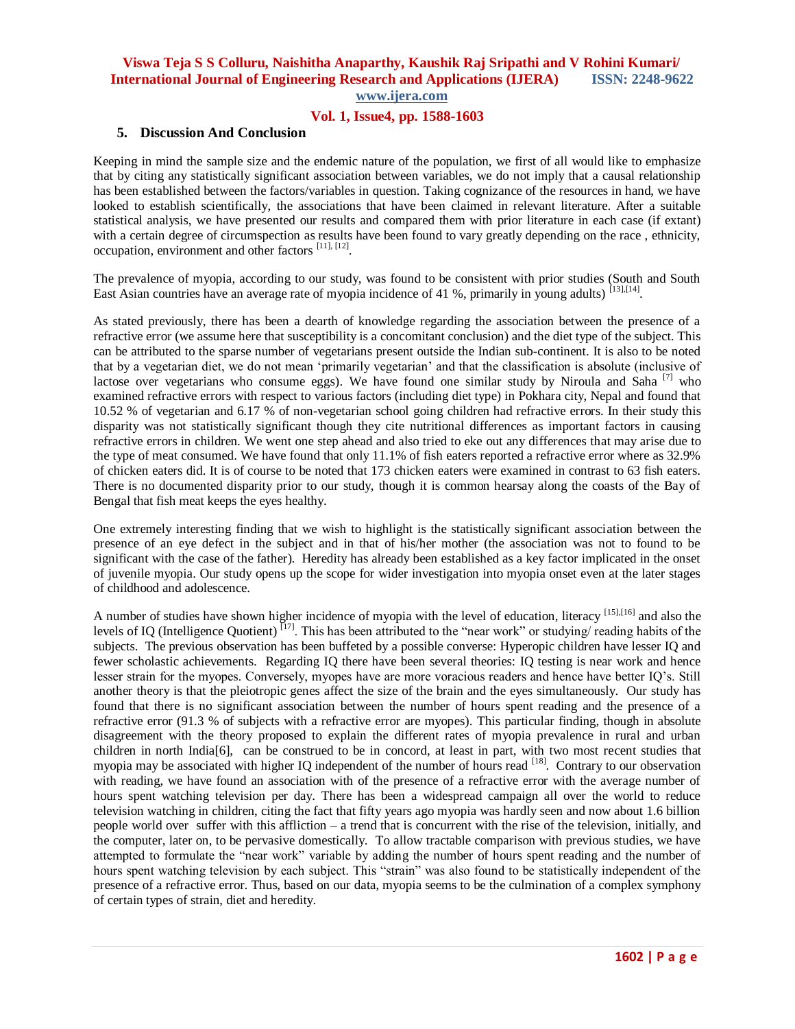#### **Vol. 1, Issue4, pp. 1588-1603**

#### **5. Discussion And Conclusion**

Keeping in mind the sample size and the endemic nature of the population, we first of all would like to emphasize that by citing any statistically significant association between variables, we do not imply that a causal relationship has been established between the factors/variables in question. Taking cognizance of the resources in hand, we have looked to establish scientifically, the associations that have been claimed in relevant literature. After a suitable statistical analysis, we have presented our results and compared them with prior literature in each case (if extant) with a certain degree of circumspection as results have been found to vary greatly depending on the race, ethnicity, occupation, environment and other factors [11], [12].

The prevalence of myopia, according to our study, was found to be consistent with prior studies (South and South East Asian countries have an average rate of myopia incidence of 41 %, primarily in young adults) [13],[14].

As stated previously, there has been a dearth of knowledge regarding the association between the presence of a refractive error (we assume here that susceptibility is a concomitant conclusion) and the diet type of the subject. This can be attributed to the sparse number of vegetarians present outside the Indian sub-continent. It is also to be noted that by a vegetarian diet, we do not mean "primarily vegetarian" and that the classification is absolute (inclusive of lactose over vegetarians who consume eggs). We have found one similar study by Niroula and Saha  $^{[7]}$  who examined refractive errors with respect to various factors (including diet type) in Pokhara city, Nepal and found that 10.52 % of vegetarian and 6.17 % of non-vegetarian school going children had refractive errors. In their study this disparity was not statistically significant though they cite nutritional differences as important factors in causing refractive errors in children. We went one step ahead and also tried to eke out any differences that may arise due to the type of meat consumed. We have found that only 11.1% of fish eaters reported a refractive error where as 32.9% of chicken eaters did. It is of course to be noted that 173 chicken eaters were examined in contrast to 63 fish eaters. There is no documented disparity prior to our study, though it is common hearsay along the coasts of the Bay of Bengal that fish meat keeps the eyes healthy.

One extremely interesting finding that we wish to highlight is the statistically significant association between the presence of an eye defect in the subject and in that of his/her mother (the association was not to found to be significant with the case of the father). Heredity has already been established as a key factor implicated in the onset of juvenile myopia. Our study opens up the scope for wider investigation into myopia onset even at the later stages of childhood and adolescence.

A number of studies have shown higher incidence of myopia with the level of education, literacy [15],[16] and also the levels of IQ (Intelligence Quotient) [17]. This has been attributed to the "near work" or studying/ reading habits of the subjects. The previous observation has been buffeted by a possible converse: Hyperopic children have lesser IQ and fewer scholastic achievements. Regarding IQ there have been several theories: IQ testing is near work and hence lesser strain for the myopes. Conversely, myopes have are more voracious readers and hence have better IQ"s. Still another theory is that the pleiotropic genes affect the size of the brain and the eyes simultaneously. Our study has found that there is no significant association between the number of hours spent reading and the presence of a refractive error (91.3 % of subjects with a refractive error are myopes). This particular finding, though in absolute disagreement with the theory proposed to explain the different rates of myopia prevalence in rural and urban children in north India[6], can be construed to be in concord, at least in part, with two most recent studies that myopia may be associated with higher IQ independent of the number of hours read [18]. Contrary to our observation with reading, we have found an association with of the presence of a refractive error with the average number of hours spent watching television per day. There has been a widespread campaign all over the world to reduce television watching in children, citing the fact that fifty years ago myopia was hardly seen and now about 1.6 billion people world over suffer with this affliction – a trend that is concurrent with the rise of the television, initially, and the computer, later on, to be pervasive domestically. To allow tractable comparison with previous studies, we have attempted to formulate the "near work" variable by adding the number of hours spent reading and the number of hours spent watching television by each subject. This "strain" was also found to be statistically independent of the presence of a refractive error. Thus, based on our data, myopia seems to be the culmination of a complex symphony of certain types of strain, diet and heredity.